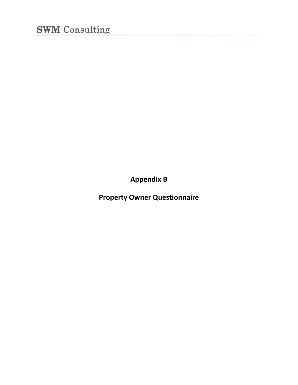**Appendix B**

**Property Owner Questionnaire**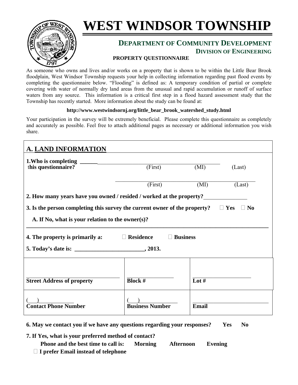

# **WEST WINDSOR TOWNSHIP**

## **DEPARTMENT OF COMMUNITY DEVELOPMENT DIVISION OF ENGINEERING**

#### **PROPERTY QUESTIONNAIRE**

As someone who owns and lives and/or works on a property that is shown to be within the Little Bear Brook floodplain, West Windsor Township requests your help in collecting information regarding past flood events by completing the questionnaire below. "Flooding" is defined as: A temporary condition of partial or complete covering with water of normally dry land areas from the unusual and rapid accumulation or runoff of surface waters from any source. This information is a critical first step in a flood hazard assessment study that the Township has recently started. More information about the study can be found at:

#### **http://www.westwindsornj.org/little\_bear\_brook\_watershed\_study.html**

Your participation in the survey will be extremely beneficial. Please complete this questionnaire as completely and accurately as possible. Feel free to attach additional pages as necessary or additional information you wish share.

| <b>A. LAND INFORMATION</b>                                                                            |                        |                   |        |  |  |  |  |
|-------------------------------------------------------------------------------------------------------|------------------------|-------------------|--------|--|--|--|--|
| this questionnaire?                                                                                   | (First)<br>(MI)        |                   | (Last) |  |  |  |  |
|                                                                                                       | (First)<br>(MI)        |                   | (Last) |  |  |  |  |
| 2. How many years have you owned / resided / worked at the property?                                  |                        |                   |        |  |  |  |  |
| 3. Is the person completing this survey the current owner of the property?<br>$\Box$ Yes<br>$\Box$ No |                        |                   |        |  |  |  |  |
| A. If No, what is your relation to the owner(s)?                                                      |                        |                   |        |  |  |  |  |
| <b>Residence</b><br><b>Business</b><br>4. The property is primarily a:                                |                        |                   |        |  |  |  |  |
|                                                                                                       |                        |                   |        |  |  |  |  |
|                                                                                                       |                        |                   |        |  |  |  |  |
| <b>Street Address of property</b>                                                                     | <b>Block #</b>         | Lot $\frac{1}{2}$ |        |  |  |  |  |
| <b>Contact Phone Number</b>                                                                           | <b>Business Number</b> | Email             |        |  |  |  |  |

**6. May we contact you if we have any questions regarding your responses? Yes No**

- **7. If Yes, what is your preferred method of contact?** 
	- **Phone and the best time to call is: Morning Afternoon Evening**
	- **I prefer Email instead of telephone**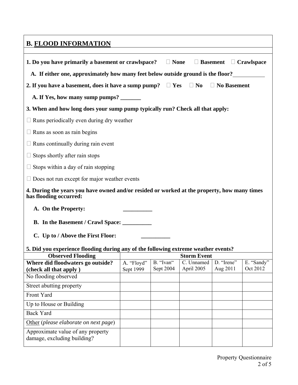| <b>B. FLOOD INFORMATION</b>                                                                                           |                         |                        |                                  |                        |                        |
|-----------------------------------------------------------------------------------------------------------------------|-------------------------|------------------------|----------------------------------|------------------------|------------------------|
|                                                                                                                       |                         |                        |                                  |                        |                        |
| 1. Do you have primarily a basement or crawlspace? $\Box$ None<br>$\Box$ Basement $\Box$ Crawlspace                   |                         |                        |                                  |                        |                        |
| A. If either one, approximately how many feet below outside ground is the floor?                                      |                         |                        |                                  |                        |                        |
| 2. If you have a basement, does it have a sump pump? $\Box$ Yes $\Box$ No $\Box$ No Basement                          |                         |                        |                                  |                        |                        |
| A. If Yes, how many sump pumps? _______                                                                               |                         |                        |                                  |                        |                        |
| 3. When and how long does your sump pump typically run? Check all that apply:                                         |                         |                        |                                  |                        |                        |
| Runs periodically even during dry weather                                                                             |                         |                        |                                  |                        |                        |
| Runs as soon as rain begins                                                                                           |                         |                        |                                  |                        |                        |
| Runs continually during rain event                                                                                    |                         |                        |                                  |                        |                        |
| Stops shortly after rain stops                                                                                        |                         |                        |                                  |                        |                        |
| Stops within a day of rain stopping                                                                                   |                         |                        |                                  |                        |                        |
| Does not run except for major weather events                                                                          |                         |                        |                                  |                        |                        |
| 4. During the years you have owned and/or resided or worked at the property, how many times<br>has flooding occurred: |                         |                        |                                  |                        |                        |
| A. On the Property:                                                                                                   |                         |                        |                                  |                        |                        |
| B. In the Basement / Crawl Space: ____________                                                                        |                         |                        |                                  |                        |                        |
|                                                                                                                       |                         |                        |                                  |                        |                        |
| C. Up to / Above the First Floor:                                                                                     |                         |                        |                                  |                        |                        |
| 5. Did you experience flooding during any of the following extreme weather events?                                    |                         |                        |                                  |                        |                        |
| <b>Observed Flooding</b>                                                                                              |                         |                        | <b>Storm Event</b><br>C. Unnamed |                        |                        |
| Where did floodwaters go outside?<br>(check all that apply)                                                           | A. "Floyd"<br>Sept 1999 | B. "Ivan"<br>Sept 2004 | April 2005                       | D. "Irene"<br>Aug 2011 | E. "Sandy"<br>Oct 2012 |
| No flooding observed                                                                                                  |                         |                        |                                  |                        |                        |
| Street abutting property                                                                                              |                         |                        |                                  |                        |                        |
| Front Yard                                                                                                            |                         |                        |                                  |                        |                        |
| Up to House or Building                                                                                               |                         |                        |                                  |                        |                        |
| <b>Back Yard</b>                                                                                                      |                         |                        |                                  |                        |                        |
| Other (please elaborate on next page)                                                                                 |                         |                        |                                  |                        |                        |
| Approximate value of any property<br>damage, excluding building?                                                      |                         |                        |                                  |                        |                        |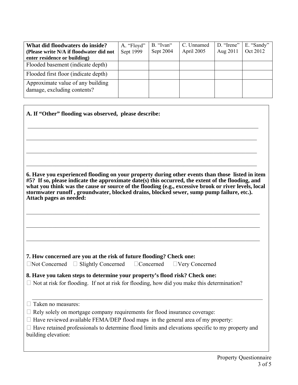| What did floodwaters do inside?<br>(Please write N/A if floodwater did not | A. "Floyd"<br>Sept 1999 | B. "Ivan"<br>Sept 2004 | C. Unnamed<br>April 2005 | D. "Irene"<br>Aug 2011 | E. "Sandy"<br>Oct 2012 |
|----------------------------------------------------------------------------|-------------------------|------------------------|--------------------------|------------------------|------------------------|
| enter residence or building)                                               |                         |                        |                          |                        |                        |
| Flooded basement (indicate depth)                                          |                         |                        |                          |                        |                        |
| Flooded first floor (indicate depth)                                       |                         |                        |                          |                        |                        |
| Approximate value of any building<br>damage, excluding contents?           |                         |                        |                          |                        |                        |

 $\mathcal{L}_\mathcal{L} = \{ \mathcal{L}_\mathcal{L} = \{ \mathcal{L}_\mathcal{L} = \{ \mathcal{L}_\mathcal{L} = \{ \mathcal{L}_\mathcal{L} = \{ \mathcal{L}_\mathcal{L} = \{ \mathcal{L}_\mathcal{L} = \{ \mathcal{L}_\mathcal{L} = \{ \mathcal{L}_\mathcal{L} = \{ \mathcal{L}_\mathcal{L} = \{ \mathcal{L}_\mathcal{L} = \{ \mathcal{L}_\mathcal{L} = \{ \mathcal{L}_\mathcal{L} = \{ \mathcal{L}_\mathcal{L} = \{ \mathcal{L}_\mathcal{$ 

 $\mathcal{L}_\mathcal{L} = \{ \mathcal{L}_\mathcal{L} = \{ \mathcal{L}_\mathcal{L} = \{ \mathcal{L}_\mathcal{L} = \{ \mathcal{L}_\mathcal{L} = \{ \mathcal{L}_\mathcal{L} = \{ \mathcal{L}_\mathcal{L} = \{ \mathcal{L}_\mathcal{L} = \{ \mathcal{L}_\mathcal{L} = \{ \mathcal{L}_\mathcal{L} = \{ \mathcal{L}_\mathcal{L} = \{ \mathcal{L}_\mathcal{L} = \{ \mathcal{L}_\mathcal{L} = \{ \mathcal{L}_\mathcal{L} = \{ \mathcal{L}_\mathcal{$ 

 $\mathcal{L}_\mathcal{L} = \{ \mathcal{L}_\mathcal{L} = \{ \mathcal{L}_\mathcal{L} = \{ \mathcal{L}_\mathcal{L} = \{ \mathcal{L}_\mathcal{L} = \{ \mathcal{L}_\mathcal{L} = \{ \mathcal{L}_\mathcal{L} = \{ \mathcal{L}_\mathcal{L} = \{ \mathcal{L}_\mathcal{L} = \{ \mathcal{L}_\mathcal{L} = \{ \mathcal{L}_\mathcal{L} = \{ \mathcal{L}_\mathcal{L} = \{ \mathcal{L}_\mathcal{L} = \{ \mathcal{L}_\mathcal{L} = \{ \mathcal{L}_\mathcal{$ \_\_\_\_\_\_\_\_\_\_\_\_\_\_\_\_\_\_\_\_\_\_\_\_\_\_\_\_\_\_\_\_\_\_\_\_\_\_\_\_\_\_\_\_\_\_\_\_\_\_\_\_\_\_\_\_\_\_\_\_\_\_\_\_\_\_\_\_\_\_\_\_\_\_\_\_\_\_\_ **6. Have you experienced flooding on your property during other events than those listed in item #5? If so, please indicate the approximate date(s) this occurred, the extent of the flooding, and what you think was the cause or source of the flooding (e.g., excessive brook or river levels, local stormwater runoff , groundwater, blocked drains, blocked sewer, sump pump failure, etc.).** 

 $\_$  , and the contribution of the contribution of the contribution of the contribution of  $\mathcal{L}_\mathcal{A}$ 

 $\mathcal{L}_\mathcal{L} = \mathcal{L}_\mathcal{L} = \mathcal{L}_\mathcal{L} = \mathcal{L}_\mathcal{L} = \mathcal{L}_\mathcal{L} = \mathcal{L}_\mathcal{L} = \mathcal{L}_\mathcal{L} = \mathcal{L}_\mathcal{L} = \mathcal{L}_\mathcal{L} = \mathcal{L}_\mathcal{L} = \mathcal{L}_\mathcal{L} = \mathcal{L}_\mathcal{L} = \mathcal{L}_\mathcal{L} = \mathcal{L}_\mathcal{L} = \mathcal{L}_\mathcal{L} = \mathcal{L}_\mathcal{L} = \mathcal{L}_\mathcal{L}$ 

 $\_$  , and the contribution of the contribution of the contribution of the contribution of  $\mathcal{L}_\mathcal{A}$ 

#### **7. How concerned are you at the risk of future flooding? Check one:**

**A. If "Other" flooding was observed, please describe:** 

Not Concerned Slightly Concerned Concerned Very Concerned

#### **8. Have you taken steps to determine your property's flood risk? Check one:**

 $\Box$  Not at risk for flooding. If not at risk for flooding, how did you make this determination?

 $\Box$  Taken no measures:

**Attach pages as needed:** 

- $\Box$  Rely solely on mortgage company requirements for flood insurance coverage:
- $\Box$  Have reviewed available FEMA/DEP flood maps in the general area of my property:

| $\Box$ Have retained professionals to determine flood limits and elevations specific to my property and |  |  |  |
|---------------------------------------------------------------------------------------------------------|--|--|--|
| building elevation:                                                                                     |  |  |  |

 $\mathcal{L}_\text{max}$  , and the contribution of the contribution of the contribution of the contribution of the contribution of the contribution of the contribution of the contribution of the contribution of the contribution of t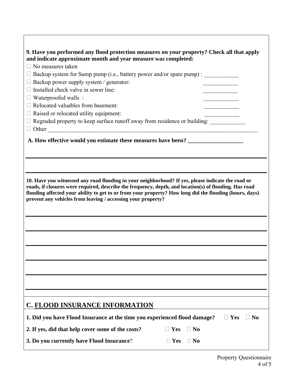| 9. Have you performed any flood protection measures on your property? Check all that apply              |  |  |  |  |  |
|---------------------------------------------------------------------------------------------------------|--|--|--|--|--|
| and indicate approximate month and year measure was completed:                                          |  |  |  |  |  |
| $\Box$ No measures taken                                                                                |  |  |  |  |  |
| $\Box$ Backup system for Sump pump (i.e., battery power and/or spare pump) :                            |  |  |  |  |  |
| Backup power supply system / generator:                                                                 |  |  |  |  |  |
| Installed check valve in sewer line:                                                                    |  |  |  |  |  |
| $\Box$ Waterproofed walls :                                                                             |  |  |  |  |  |
| $\Box$ Relocated valuables from basement:                                                               |  |  |  |  |  |
| $\Box$ Raised or relocated utility equipment:                                                           |  |  |  |  |  |
| □ Regraded property to keep surface runoff away from residence or building: ___________                 |  |  |  |  |  |
| $\Box$ Other                                                                                            |  |  |  |  |  |
| A. How effective would you estimate these measures have been?                                           |  |  |  |  |  |
|                                                                                                         |  |  |  |  |  |
|                                                                                                         |  |  |  |  |  |
|                                                                                                         |  |  |  |  |  |
|                                                                                                         |  |  |  |  |  |
| 10. Have you witnessed any road flooding in your neighborhood? If yes, please indicate the road or      |  |  |  |  |  |
| roads, if closures were required, describe the frequency, depth, and location(s) of flooding. Has road  |  |  |  |  |  |
| flooding affected your ability to get to or from your property? How long did the flooding (hours, days) |  |  |  |  |  |
| prevent any vehicles from leaving / accessing your property?                                            |  |  |  |  |  |
|                                                                                                         |  |  |  |  |  |
|                                                                                                         |  |  |  |  |  |
|                                                                                                         |  |  |  |  |  |
|                                                                                                         |  |  |  |  |  |
|                                                                                                         |  |  |  |  |  |
|                                                                                                         |  |  |  |  |  |
|                                                                                                         |  |  |  |  |  |
|                                                                                                         |  |  |  |  |  |
|                                                                                                         |  |  |  |  |  |
|                                                                                                         |  |  |  |  |  |
|                                                                                                         |  |  |  |  |  |
|                                                                                                         |  |  |  |  |  |
|                                                                                                         |  |  |  |  |  |
| <b>C. FLOOD INSURANCE INFORMATION</b>                                                                   |  |  |  |  |  |
| 1. Did you have Flood Insurance at the time you experienced flood damage?<br>$\Box$ Yes<br>$\exists$ No |  |  |  |  |  |
| 2. If yes, did that help cover some of the costs?<br>Yes<br>$\Box$ No                                   |  |  |  |  |  |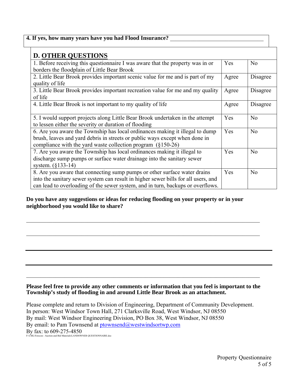| 4. If yes, how many years have you had Flood Insurance?                                                                                                                                                                                            |       |                |
|----------------------------------------------------------------------------------------------------------------------------------------------------------------------------------------------------------------------------------------------------|-------|----------------|
| <b>D. OTHER QUESTIONS</b>                                                                                                                                                                                                                          |       |                |
| 1. Before receiving this questionnaire I was aware that the property was in or<br>borders the floodplain of Little Bear Brook                                                                                                                      | Yes   | No             |
| 2. Little Bear Brook provides important scenic value for me and is part of my<br>quality of life                                                                                                                                                   | Agree | Disagree       |
| 3. Little Bear Brook provides important recreation value for me and my quality<br>of life                                                                                                                                                          | Agree | Disagree       |
| 4. Little Bear Brook is not important to my quality of life                                                                                                                                                                                        | Agree | Disagree       |
| 5. I would support projects along Little Bear Brook undertaken in the attempt<br>to lessen either the severity or duration of flooding                                                                                                             | Yes   | No             |
| 6. Are you aware the Township has local ordinances making it illegal to dump<br>brush, leaves and yard debris in streets or public ways except when done in<br>compliance with the yard waste collection program $(\S150-26)$                      | Yes   | N <sub>0</sub> |
| 7. Are you aware the Township has local ordinances making it illegal to<br>discharge sump pumps or surface water drainage into the sanitary sewer<br>system. (§133-14)                                                                             | Yes   | N <sub>0</sub> |
| 8. Are you aware that connecting sump pumps or other surface water drains<br>into the sanitary sewer system can result in higher sewer bills for all users, and<br>can lead to overloading of the sewer system, and in turn, backups or overflows. | Yes   | N <sub>o</sub> |

**Do you have any suggestions or ideas for reducing flooding on your property or in your neighborhood you would like to share?** 

 $\mathcal{L}_\mathcal{L} = \mathcal{L}_\mathcal{L} = \mathcal{L}_\mathcal{L} = \mathcal{L}_\mathcal{L} = \mathcal{L}_\mathcal{L} = \mathcal{L}_\mathcal{L} = \mathcal{L}_\mathcal{L} = \mathcal{L}_\mathcal{L} = \mathcal{L}_\mathcal{L} = \mathcal{L}_\mathcal{L} = \mathcal{L}_\mathcal{L} = \mathcal{L}_\mathcal{L} = \mathcal{L}_\mathcal{L} = \mathcal{L}_\mathcal{L} = \mathcal{L}_\mathcal{L} = \mathcal{L}_\mathcal{L} = \mathcal{L}_\mathcal{L}$ 

 $\mathcal{L}_\mathcal{L} = \{ \mathcal{L}_\mathcal{L} = \{ \mathcal{L}_\mathcal{L} = \{ \mathcal{L}_\mathcal{L} = \{ \mathcal{L}_\mathcal{L} = \{ \mathcal{L}_\mathcal{L} = \{ \mathcal{L}_\mathcal{L} = \{ \mathcal{L}_\mathcal{L} = \{ \mathcal{L}_\mathcal{L} = \{ \mathcal{L}_\mathcal{L} = \{ \mathcal{L}_\mathcal{L} = \{ \mathcal{L}_\mathcal{L} = \{ \mathcal{L}_\mathcal{L} = \{ \mathcal{L}_\mathcal{L} = \{ \mathcal{L}_\mathcal{$ 

#### **Please feel free to provide any other comments or information that you feel is important to the Township's study of flooding in and around Little Bear Brook as an attachment.**

 $\mathcal{L}_\mathcal{L} = \mathcal{L}_\mathcal{L} = \mathcal{L}_\mathcal{L} = \mathcal{L}_\mathcal{L} = \mathcal{L}_\mathcal{L} = \mathcal{L}_\mathcal{L} = \mathcal{L}_\mathcal{L} = \mathcal{L}_\mathcal{L} = \mathcal{L}_\mathcal{L} = \mathcal{L}_\mathcal{L} = \mathcal{L}_\mathcal{L} = \mathcal{L}_\mathcal{L} = \mathcal{L}_\mathcal{L} = \mathcal{L}_\mathcal{L} = \mathcal{L}_\mathcal{L} = \mathcal{L}_\mathcal{L} = \mathcal{L}_\mathcal{L}$ 

Please complete and return to Division of Engineering, Department of Community Development. In person: West Windsor Town Hall, 271 Clarksville Road, West Windsor, NJ 08550 By mail: West Windsor Engineering Division, PO Box 38, West Windsor, NJ 08550 By email: to Pam Townsend at ptownsend@westwindsortwp.com By fax: to 609-275-4850<br>F:\CML\Forecon - Auction and Bid Materials\LANDOWNER QUESTIONNAIRE.doc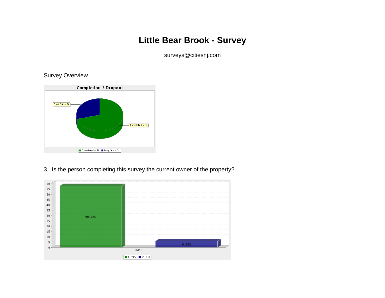## **Little Bear Brook - Survey**

surveys@citiesnj.com

Survey Overview



3. Is the person completing this survey the current owner of the property?

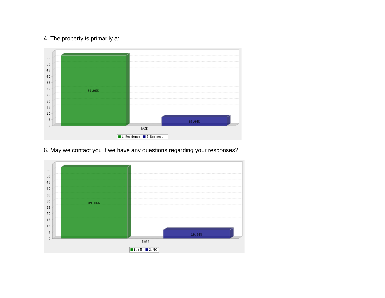## 4. The property is primarily a:



6. May we contact you if we have any questions regarding your responses?

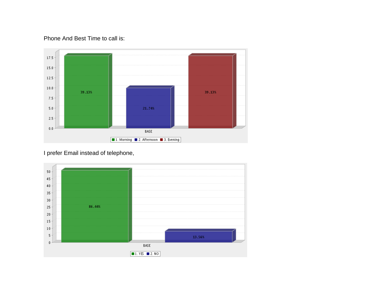## Phone And Best Time to call is:



## I prefer Email instead of telephone,

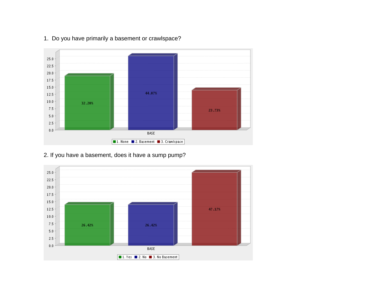

## 1. Do you have primarily a basement or crawlspace?

## 2. If you have a basement, does it have a sump pump?

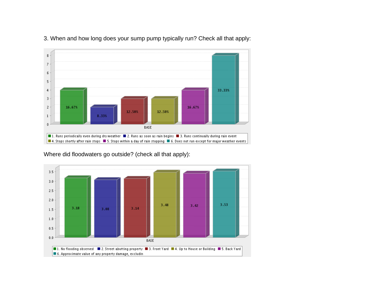

3. When and how long does your sump pump typically run? Check all that apply:

Where did floodwaters go outside? (check all that apply):

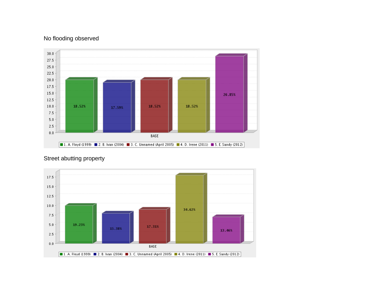## No flooding observed





Street abutting property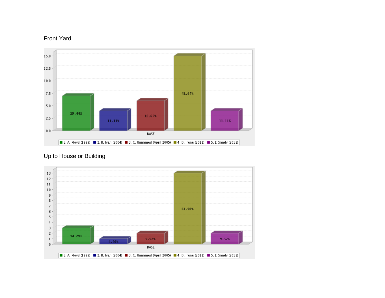## Front Yard





## Up to House or Building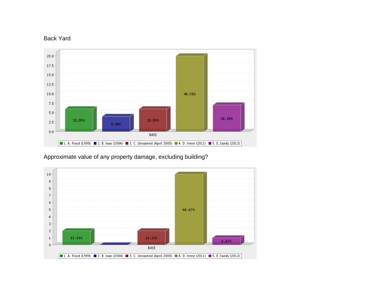## Back Yard



## Approximate value of any property damage, excluding building?

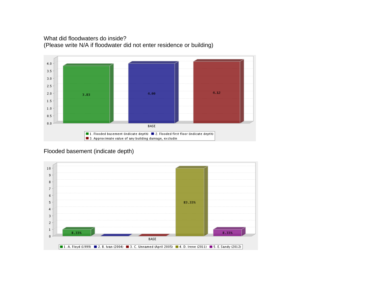## What did floodwaters do inside? (Please write N/A if floodwater did not enter residence or building)



#### Flooded basement (indicate depth)

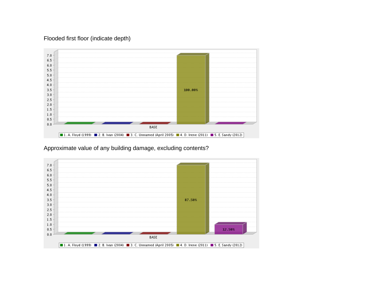#### Flooded first floor (indicate depth)



Approximate value of any building damage, excluding contents?

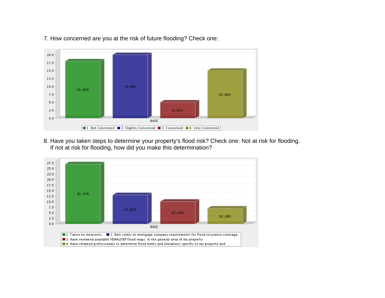

7. How concerned are you at the risk of future flooding? Check one:

8. Have you taken steps to determine your property's flood risk? Check one: Not at risk for flooding. If not at risk for flooding, how did you make this determination?

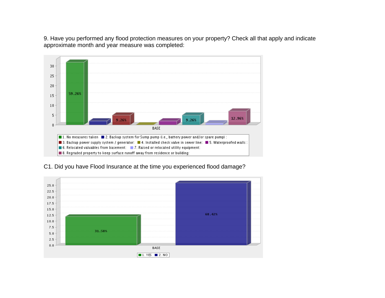9. Have you performed any flood protection measures on your property? Check all that apply and indicate approximate month and year measure was completed:



C1. Did you have Flood Insurance at the time you experienced flood damage?

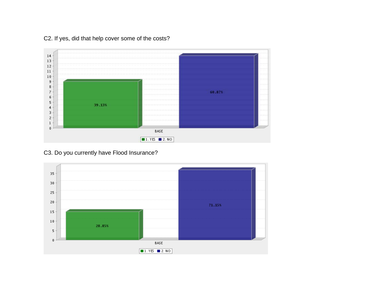

C2. If yes, did that help cover some of the costs?

C3. Do you currently have Flood Insurance?

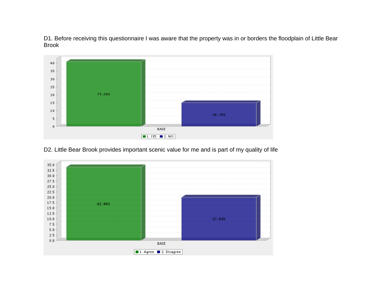D1. Before receiving this questionnaire I was aware that the property was in or borders the floodplain of Little Bear Brook



D2. Little Bear Brook provides important scenic value for me and is part of my quality of life

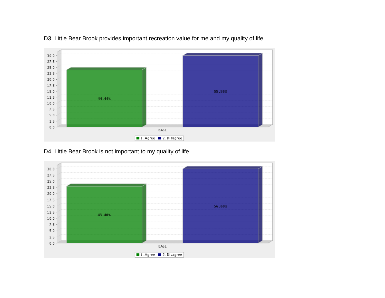

D3. Little Bear Brook provides important recreation value for me and my quality of life

## D4. Little Bear Brook is not important to my quality of life

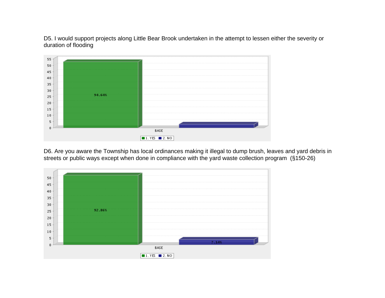D5. I would support projects along Little Bear Brook undertaken in the attempt to lessen either the severity or duration of flooding



D6. Are you aware the Township has local ordinances making it illegal to dump brush, leaves and yard debris in streets or public ways except when done in compliance with the yard waste collection program (§150-26)